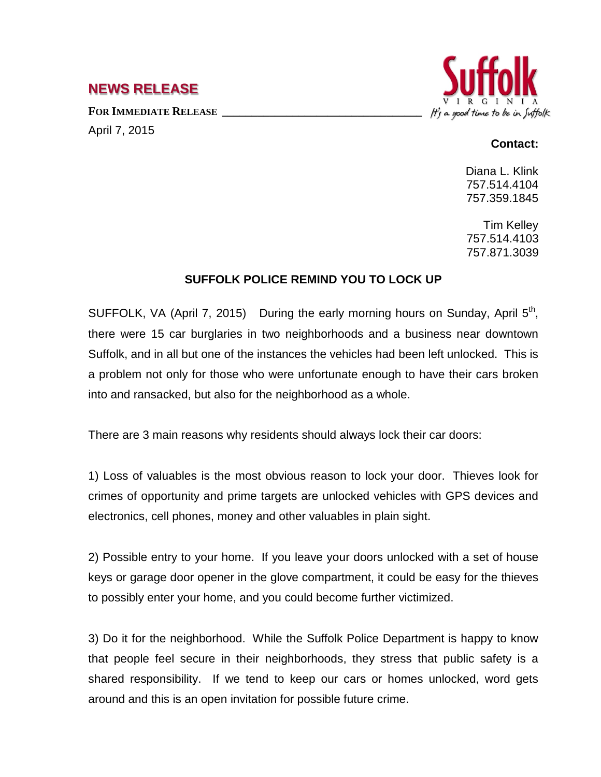## **NEWS RELEASE**

FOR **IMMEDIATE RELEASE** 

April 7, 2015



## **Contact:**

Diana L. Klink 757.514.4104 757.359.1845

Tim Kelley 757.514.4103 757.871.3039

## **SUFFOLK POLICE REMIND YOU TO LOCK UP**

SUFFOLK, VA (April 7, 2015) During the early morning hours on Sunday, April  $5<sup>th</sup>$ , there were 15 car burglaries in two neighborhoods and a business near downtown Suffolk, and in all but one of the instances the vehicles had been left unlocked. This is a problem not only for those who were unfortunate enough to have their cars broken into and ransacked, but also for the neighborhood as a whole.

There are 3 main reasons why residents should always lock their car doors:

1) Loss of valuables is the most obvious reason to lock your door. Thieves look for crimes of opportunity and prime targets are unlocked vehicles with GPS devices and electronics, cell phones, money and other valuables in plain sight.

2) Possible entry to your home. If you leave your doors unlocked with a set of house keys or garage door opener in the glove compartment, it could be easy for the thieves to possibly enter your home, and you could become further victimized.

3) Do it for the neighborhood. While the Suffolk Police Department is happy to know that people feel secure in their neighborhoods, they stress that public safety is a shared responsibility. If we tend to keep our cars or homes unlocked, word gets around and this is an open invitation for possible future crime.